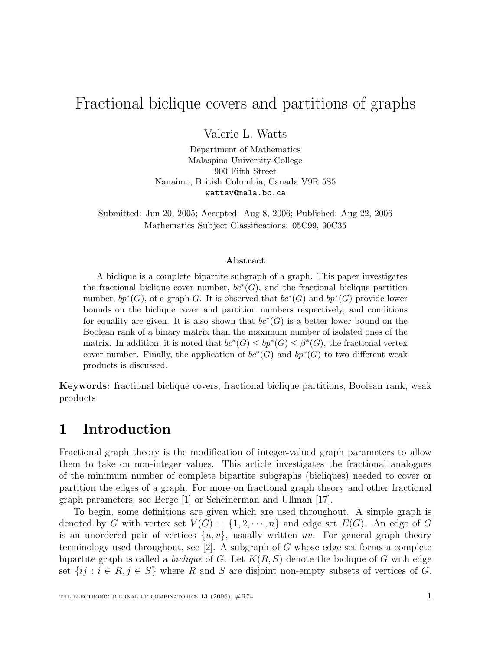## Fractional biclique covers and partitions of graphs

Valerie L. Watts

Department of Mathematics Malaspina University-College 900 Fifth Street Nanaimo, British Columbia, Canada V9R 5S5 wattsv@mala.bc.ca

Submitted: Jun 20, 2005; Accepted: Aug 8, 2006; Published: Aug 22, 2006 Mathematics Subject Classifications: 05C99, 90C35

#### **Abstract**

A biclique is a complete bipartite subgraph of a graph. This paper investigates the fractional biclique cover number,  $bc*(G)$ , and the fractional biclique partition number,  $bp^*(G)$ , of a graph G. It is observed that  $bc^*(G)$  and  $bp^*(G)$  provide lower bounds on the biclique cover and partition numbers respectively, and conditions for equality are given. It is also shown that  $bc^*(G)$  is a better lower bound on the Boolean rank of a binary matrix than the maximum number of isolated ones of the matrix. In addition, it is noted that  $bc^*(G) \le bp^*(G) \le \beta^*(G)$ , the fractional vertex cover number. Finally, the application of  $bc^*(G)$  and  $bp^*(G)$  to two different weak products is discussed.

**Keywords:** fractional biclique covers, fractional biclique partitions, Boolean rank, weak products

#### **1 Introduction**

Fractional graph theory is the modification of integer-valued graph parameters to allow them to take on non-integer values. This article investigates the fractional analogues of the minimum number of complete bipartite subgraphs (bicliques) needed to cover or partition the edges of a graph. For more on fractional graph theory and other fractional graph parameters, see Berge [1] or Scheinerman and Ullman [17].

To begin, some definitions are given which are used throughout. A simple graph is denoted by G with vertex set  $V(G) = \{1, 2, \dots, n\}$  and edge set  $E(G)$ . An edge of G is an unordered pair of vertices  $\{u, v\}$ , usually written uv. For general graph theory terminology used throughout, see  $[2]$ . A subgraph of G whose edge set forms a complete bipartite graph is called a *biclique* of G. Let  $K(R, S)$  denote the biclique of G with edge set  $\{ij : i \in R, j \in S\}$  where R and S are disjoint non-empty subsets of vertices of G.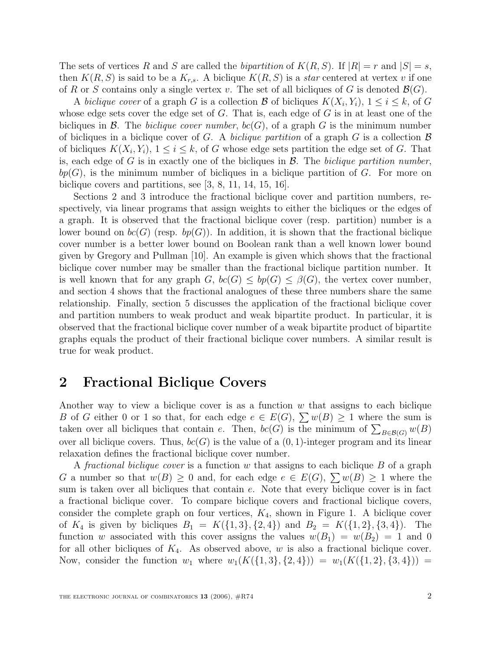The sets of vertices R and S are called the bipartition of  $K(R, S)$ . If  $|R| = r$  and  $|S| = s$ , then  $K(R, S)$  is said to be a  $K_{r,s}$ . A biclique  $K(R, S)$  is a *star* centered at vertex v if one of R or S contains only a single vertex v. The set of all bicliques of G is denoted  $\mathcal{B}(G)$ .

A biclique cover of a graph G is a collection B of bicliques  $K(X_i, Y_i)$ ,  $1 \leq i \leq k$ , of G whose edge sets cover the edge set of  $G$ . That is, each edge of  $G$  is in at least one of the bicliques in  $\mathcal{B}$ . The *biclique cover number*,  $bc(G)$ , of a graph G is the minimum number of bicliques in a biclique cover of G. A biclique partition of a graph G is a collection  $\mathcal B$ of bicliques  $K(X_i, Y_i)$ ,  $1 \leq i \leq k$ , of G whose edge sets partition the edge set of G. That is, each edge of G is in exactly one of the bicliques in  $\mathcal{B}$ . The *biclique partition number*,  $bp(G)$ , is the minimum number of bicliques in a biclique partition of G. For more on biclique covers and partitions, see [3, 8, 11, 14, 15, 16].

Sections 2 and 3 introduce the fractional biclique cover and partition numbers, respectively, via linear programs that assign weights to either the bicliques or the edges of a graph. It is observed that the fractional biclique cover (resp. partition) number is a lower bound on  $bc(G)$  (resp.  $bp(G)$ ). In addition, it is shown that the fractional biclique cover number is a better lower bound on Boolean rank than a well known lower bound given by Gregory and Pullman [10]. An example is given which shows that the fractional biclique cover number may be smaller than the fractional biclique partition number. It is well known that for any graph  $G, bc(G) \leq bp(G) \leq \beta(G)$ , the vertex cover number, and section 4 shows that the fractional analogues of these three numbers share the same relationship. Finally, section 5 discusses the application of the fractional biclique cover and partition numbers to weak product and weak bipartite product. In particular, it is observed that the fractional biclique cover number of a weak bipartite product of bipartite graphs equals the product of their fractional biclique cover numbers. A similar result is true for weak product.

### **2 Fractional Biclique Covers**

Another way to view a biclique cover is as a function  $w$  that assigns to each biclique B of G either 0 or 1 so that, for each edge  $e \in E(G)$ ,  $\sum w(B) \ge 1$  where the sum is taken over all bicliques that contain e. Then,  $bc(G)$  is the minimum of  $\sum_{B \in \mathcal{B}(G)} w(B)$ <br>over all biglious covers. Thus,  $bc(G)$  is the value of a (0, 1) integer program and its linear over all biclique covers. Thus,  $bc(G)$  is the value of a  $(0, 1)$ -integer program and its linear relaxation defines the fractional biclique cover number.

A fractional biclique cover is a function w that assigns to each biclique  $B$  of a graph G a number so that  $w(B) \geq 0$  and, for each edge  $e \in E(G)$ ,  $\sum w(B) \geq 1$  where the sum is taken over all bicliques that contain e. Note that every biclique cover is in fact a fractional biclique cover. To compare biclique covers and fractional biclique covers, consider the complete graph on four vertices,  $K_4$ , shown in Figure 1. A biclique cover of  $K_4$  is given by bicliques  $B_1 = K({1, 3}, {2, 4})$  and  $B_2 = K({1, 2}, {3, 4})$ . The function w associated with this cover assigns the values  $w(B_1) = w(B_2) = 1$  and 0 for all other bicliques of  $K_4$ . As observed above, w is also a fractional biclique cover. Now, consider the function  $w_1$  where  $w_1(K({1, 3}, {2, 4})) = w_1(K({1, 2}, {3, 4})) =$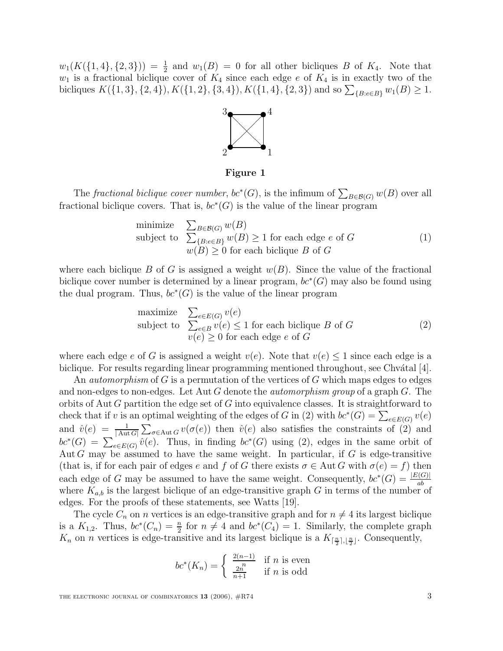$w_1(K(\{1,4\},\{2,3\})) = \frac{1}{2}$  and  $w_1(B) = 0$  for all other bicliques B of  $K_4$ . Note that  $w_1$  is a fractional biclique cover of  $K_4$  since each edge e of  $K_4$  is in exactly two of the bicliques  $K({1, 3}, {2, 4}), K({1, 2}, {3, 4}), K({1, 4}, {2, 3})$  and so  $\sum_{B: e \in B} w_1(B) \ge 1$ .



**Figure 1**

The *fractional biclique cover number*,  $bc^*(G)$ , is the infimum of  $\sum_{B \in \mathcal{B}(G)} w(B)$  over all tional biglique covers. That is  $bc^*(G)$  is the value of the linear program fractional biclique covers. That is,  $bc^*(G)$  is the value of the linear program

minimize 
$$
\sum_{B \in \mathcal{B}(G)} w(B)
$$
  
subject to  $\sum_{\{B: e \in B\}} w(B) \ge 1$  for each edge *e* of *G*  
 $w(B) \ge 0$  for each biclique *B* of *G* (1)

where each biclique B of G is assigned a weight  $w(B)$ . Since the value of the fractional biclique cover number is determined by a linear program,  $bc*(G)$  may also be found using the dual program. Thus,  $bc^*(G)$  is the value of the linear program

maximize 
$$
\sum_{e \in E(G)} v(e)
$$
  
subject to  $\sum_{e \in B} v(e) \le 1$  for each biclique *B* of *G*  
 $v(e) \ge 0$  for each edge *e* of *G* (2)

where each edge e of G is assigned a weight  $v(e)$ . Note that  $v(e) \leq 1$  since each edge is a biclique. For results regarding linear programming mentioned throughout, see Chvátal  $[4]$ .

An *automorphism* of G is a permutation of the vertices of G which maps edges to edges and non-edges to non-edges. Let Aut G denote the *automorphism group* of a graph  $G$ . The orbits of Aut G partition the edge set of G into equivalence classes. It is straightforward to check that if v is an optimal weighting of the edges of G in (2) with  $bc^*(G) = \sum_{e \in E(G)} v(e)$ and  $\hat{v}(e) = \frac{1}{|\text{Aut }G|} \sum_{\sigma \in \text{Aut }G} v(\sigma(e))$  then  $\hat{v}(e)$  also satisfies the constraints of (2) and  $h^{*}(G) = \sum_{\sigma \in \text{Aut }G} \hat{v}(e)$ . Thus, in finding  $h^{*}(G)$  wing (2) adopt in the same orbit of  $bc^*(G) = \sum_{e \in E(G)} \hat{v}(e)$ . Thus, in finding  $bc^*(G)$  using (2), edges in the same orbit of  $\Delta$ ut G may be assumed to have the same weight. In particular, if G is edge-transitive Aut  $G$  may be assumed to have the same weight. In particular, if  $G$  is edge-transitive (that is, if for each pair of edges e and f of G there exists  $\sigma \in \text{Aut } G$  with  $\sigma(e) = f$ ) then each edge of G may be assumed to have the same weight. Consequently,  $bc^*(G) = \frac{|E(G)|}{ab}$ where  $K_{a,b}$  is the largest biclique of an edge-transitive graph G in terms of the number of edges. For the proofs of these statements, see Watts [10] edges. For the proofs of these statements, see Watts [19].

The cycle  $C_n$  on *n* vertices is an edge-transitive graph and for  $n \neq 4$  its largest biclique is a  $K_{1,2}$ . Thus,  $bc^*(C_n) = \frac{n}{2}$  for  $n \neq 4$  and  $bc^*(C_4) = 1$ . Similarly, the complete graph  $K$  on n vertices is edge-transitive and its largest biclique is a  $K_{1,2}$ , Consequently  $K_n$  on *n* vertices is edge-transitive and its largest biclique is a  $K_{\lceil \frac{n}{2}\rceil, \lfloor \frac{n}{2}\rfloor}$ . Consequently,

$$
bc^*(K_n) = \begin{cases} \frac{2(n-1)}{n} & \text{if } n \text{ is even} \\ \frac{2n}{n+1} & \text{if } n \text{ is odd} \end{cases}
$$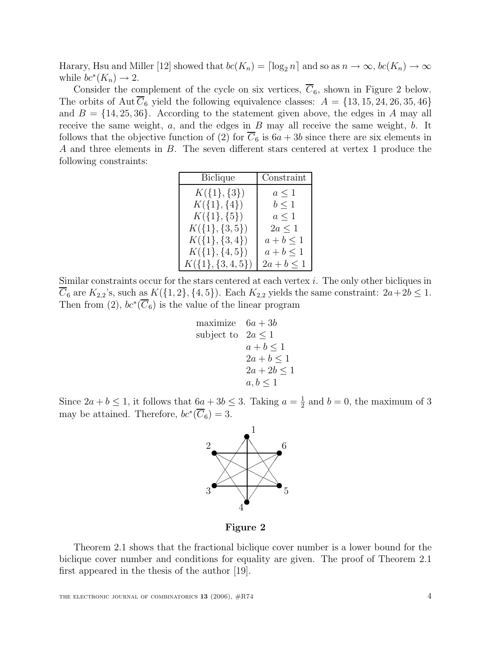Harary, Hsu and Miller [12] showed that  $bc(K_n) = \lceil \log_2 n \rceil$  and so as  $n \to \infty$ ,  $bc(K_n) \to \infty$ while  $bc^*(K_n) \to 2$ .

Consider the complement of the cycle on six vertices,  $C_6$ , shown in Figure 2 below. The orbits of Aut  $\overline{C}_6$  yield the following equivalence classes:  $A = \{13, 15, 24, 26, 35, 46\}$ and  $B = \{14, 25, 36\}$ . According to the statement given above, the edges in A may all receive the same weight,  $a$ , and the edges in  $B$  may all receive the same weight,  $b$ . It follows that the objective function of (2) for  $C_6$  is  $6a + 3b$  since there are six elements in A and three elements in B. The seven different stars centered at vertex 1 produce the following constraints:

| <b>Biclique</b>   | Constraint      |
|-------------------|-----------------|
| $K({1}, {3})$     | $a \leq 1$      |
| $K({1}, {4})$     | $b \leq 1$      |
| $K({1}, {5})$     | $a\leq 1$       |
| $K({1}, {3, 5})$  | $2a \leq 1$     |
| $K({1}, {3,4})$   | $a+b\leq 1$     |
| $K({1}, {4}, 5)$  | $a+b\leq 1$     |
| $K({1}, {3,4,5})$ | $2a + b \leq 1$ |
|                   |                 |

Similar constraints occur for the stars centered at each vertex  $i$ . The only other bicliques in  $\overline{C}_6$  are  $K_{2,2}$ 's, such as  $K(\lbrace 1,2\rbrace,\lbrace 4,5\rbrace)$ . Each  $K_{2,2}$  yields the same constraint:  $2a+2b\leq 1$ . Then from (2),  $bc^*(\overline{C}_6)$  is the value of the linear program

maximize 
$$
6a + 3b
$$
  
\nsubject to  $2a \le 1$   
\n $a + b \le 1$   
\n $2a + b \le 1$   
\n $2a + 2b \le 1$   
\n $a, b \le 1$ 

Since  $2a + b \le 1$ , it follows that  $6a + 3b \le 3$ . Taking  $a = \frac{1}{2}$  and  $b = 0$ , the maximum of 3 may be attained. Therefore,  $bc*(\overline{C_6})=3$ .



**Figure 2**

Theorem 2.1 shows that the fractional biclique cover number is a lower bound for the biclique cover number and conditions for equality are given. The proof of Theorem 2.1 first appeared in the thesis of the author [19].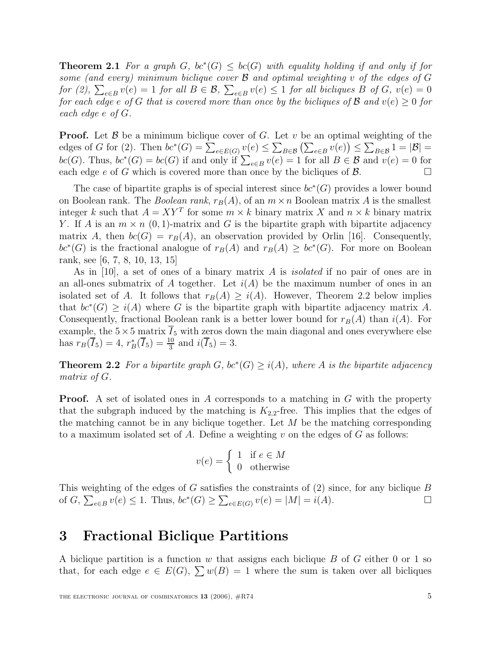**Theorem 2.1** For a graph G,  $bc^*(G) \leq bc(G)$  with equality holding if and only if for some (and every) minimum biclique cover  $\mathcal B$  and optimal weighting v of the edges of  $G$ for (2),  $\sum_{e \in B} v(e) = 1$  for all  $B \in \mathcal{B}$ ,  $\sum_{e \in B} v(e) \le 1$  for all bicliques B of G,  $v(e) = 0$ <br>for each edge e of G that is covered more than once by the bicliques of B and  $v(e) > 0$  for for each edge e of G that is covered more than once by the bicliques of B and  $v(e) \geq 0$  for each edge e of G.

**Proof.** Let B be a minimum biclique cover of G. Let v be an optimal weighting of the edges of G for (2) Then  $bc^*(G) - \sum_{y(e) \leq \sum_{y(e) \leq y(e)} y(e) \leq \sum_{y(e) \leq y(e)} y(e)$ edges of G for (2). Then  $bc^*(G) = \sum_{e \in E(G)} v(e) \leq \sum_{B \in \mathcal{B}} (\sum_{e \in B} v(e)) \leq \sum_{B \in \mathcal{B}} 1 = |\mathcal{B}| =$ <br> $bc(G)$  Thus  $bc^*(G) = bc(G)$  if and only if  $\sum_{e \in B} v(e) = 1$  for all  $B \subset \mathcal{B}$  and  $v(e) = 0$  for bc(G). Thus,  $bc^*(G) = bc(G)$  if and only if  $\sum_{e \in B} v(e) = 1$  for all  $B \in \mathcal{B}$  and  $v(e) = 0$  for each edge e of G which is covered more than once by the bicliques of  $\mathcal{B}$ .

The case of bipartite graphs is of special interest since  $bc^*(G)$  provides a lower bound on Boolean rank. The *Boolean rank*,  $r_B(A)$ , of an  $m \times n$  Boolean matrix A is the smallest integer k such that  $A = XY^T$  for some  $m \times k$  binary matrix X and  $n \times k$  binary matrix Y. If A is an  $m \times n$  (0, 1)-matrix and G is the bipartite graph with bipartite adjacency matrix A, then  $bc(G) = r_B(A)$ , an observation provided by Orlin [16]. Consequently,  $bc*(G)$  is the fractional analogue of  $r_B(A)$  and  $r_B(A) \geq bc*(G)$ . For more on Boolean rank, see [6, 7, 8, 10, 13, 15]

As in [10], a set of ones of a binary matrix A is isolated if no pair of ones are in an all-ones submatrix of A together. Let  $i(A)$  be the maximum number of ones in an isolated set of A. It follows that  $r_B(A) \geq i(A)$ . However, Theorem 2.2 below implies that  $bc^*(G) \geq i(A)$  where G is the bipartite graph with bipartite adjacency matrix A. Consequently, fractional Boolean rank is a better lower bound for  $r_B(A)$  than  $i(A)$ . For example, the  $5\times 5$  matrix  $\overline{I}_5$  with zeros down the main diagonal and ones everywhere else has  $r_B(\overline{I}_5) = 4$ ,  $r_B^*(\overline{I}_5) = \frac{10}{3}$  and  $i(\overline{I}_5) = 3$ .

**Theorem 2.2** For a bipartite graph  $G$ ,  $bc^*(G) \geq i(A)$ , where A is the bipartite adjacency matrix of G.

**Proof.** A set of isolated ones in A corresponds to a matching in G with the property that the subgraph induced by the matching is  $K_{2,2}$ -free. This implies that the edges of the matching cannot be in any biclique together. Let  $M$  be the matching corresponding to a maximum isolated set of A. Define a weighting v on the edges of  $G$  as follows:

$$
v(e) = \begin{cases} 1 & \text{if } e \in M \\ 0 & \text{otherwise} \end{cases}
$$

This weighting of the edges of G satisfies the constraints of (2) since, for any biclique B of G,  $\sum_{e \in E} v(e) \le 1$ . Thus,  $bc^*(G) \ge \sum_{e \in E(G)} v(e) = |M| = i(A)$ . of  $G$ ,  $\sum_{e \in B} v(e) \le 1$ . Thus,  $bc^*(G) \ge \sum_{e \in E(G)} v(e) = |M| = i(A)$ .

#### **3 Fractional Biclique Partitions**

A biclique partition is a function w that assigns each biclique  $B$  of  $G$  either 0 or 1 so that, for each edge  $e \in E(G)$ ,  $\sum w(B) = 1$  where the sum is taken over all bicliques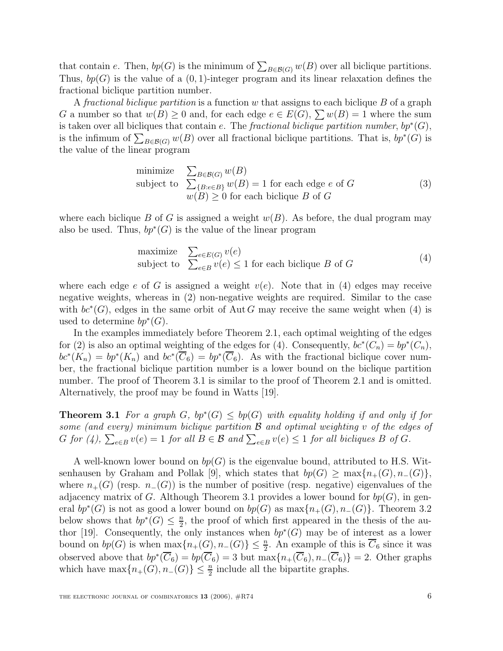that contain e. Then,  $bp(G)$  is the minimum of  $\sum_{B \in \mathcal{B}(G)} w(B)$  over all biclique partitions.<br>Thus,  $bn(G)$  is the value of a (0, 1) integer program and its linear relaxation defines the Thus,  $bp(G)$  is the value of a  $(0, 1)$ -integer program and its linear relaxation defines the fractional biclique partition number.

A fractional biclique partition is a function  $w$  that assigns to each biclique  $B$  of a graph G a number so that  $w(B) \geq 0$  and, for each edge  $e \in E(G)$ ,  $\sum w(B) = 1$  where the sum is taken over all bicliques that contain e. The fractional biclique partition number,  $bp^*(G)$ , is the infimum of  $\sum_{B \in \mathcal{B}(G)} w(B)$  over all fractional biclique partitions. That is,  $bp^*(G)$  is<br>the value of the linear program the value of the linear program

minimize 
$$
\sum_{B \in \mathcal{B}(G)} w(B)
$$
  
subject to  $\sum_{\{B: e \in B\}} w(B) = 1$  for each edge *e* of *G*  
 $w(B) \ge 0$  for each biclique *B* of *G* (3)

where each biclique B of G is assigned a weight  $w(B)$ . As before, the dual program may also be used. Thus,  $bp^*(G)$  is the value of the linear program

maximize 
$$
\sum_{e \in E(G)} v(e)
$$
  
subject to  $\sum_{e \in B} v(e) \le 1$  for each biclique *B* of *G* (4)

where each edge e of G is assigned a weight  $v(e)$ . Note that in (4) edges may receive negative weights, whereas in (2) non-negative weights are required. Similar to the case with  $bc^*(G)$ , edges in the same orbit of Aut G may receive the same weight when (4) is used to determine  $bp^*(G)$ .

In the examples immediately before Theorem 2.1, each optimal weighting of the edges for (2) is also an optimal weighting of the edges for (4). Consequently,  $bc^*(C_n) = bp^*(C_n)$ ,  $bc^{*}(K_{n}) = bp^{*}(K_{n})$  and  $bc^{*}(\overline{C}_{6}) = bp^{*}(\overline{C}_{6})$ . As with the fractional biclique cover number, the fractional biclique partition number is a lower bound on the biclique partition number. The proof of Theorem 3.1 is similar to the proof of Theorem 2.1 and is omitted. Alternatively, the proof may be found in Watts [19].

**Theorem 3.1** For a graph G,  $bp^*(G) \leq bp(G)$  with equality holding if and only if for some (and every) minimum biclique partition  $\mathcal B$  and optimal weighting v of the edges of G for (4),  $\sum_{e \in B} v(e) = 1$  for all  $B \in \mathcal{B}$  and  $\sum_{e \in B} v(e) \le 1$  for all bicliques B of G.

A well-known lower bound on  $bp(G)$  is the eigenvalue bound, attributed to H.S. Witsenhausen by Graham and Pollak [9], which states that  $bp(G) \ge \max\{n_+(G), n_-(G)\}\$ , where  $n_{+}(G)$  (resp.  $n_{-}(G)$ ) is the number of positive (resp. negative) eigenvalues of the adjacency matrix of G. Although Theorem 3.1 provides a lower bound for  $bp(G)$ , in general  $bp^*(G)$  is not as good a lower bound on  $bp(G)$  as  $\max\{n_+(G), n_-(G)\}\$ . Theorem 3.2 below shows that  $bp^*(G) \leq \frac{n}{2}$ , the proof of which first appeared in the thesis of the au-<br>there [10]. Consequently, the only instances when  $bn^*(G)$  may be of interest as a lower thor [19]. Consequently, the only instances when  $bp^*(G)$  may be of interest as a lower bound on  $bp(G)$  is when  $\max\{n_+(G), n_-(G)\} \leq \frac{n}{2}$ . An example of this is  $C_6$  since it was observed above that  $bp^*(\overline{C}_6) = bp(\overline{C}_6) = 3$  but  $\max\{n_+(\overline{C}_6), n_-(\overline{C}_6)\} = 2$ . Other graphs which have  $\max\{n_+(G), n_-(G)\}\leq \frac{n}{2}$  include all the bipartite graphs.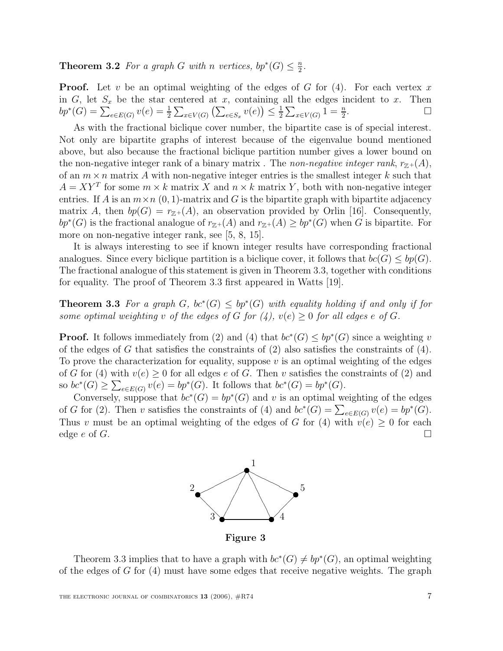**Theorem 3.2** For a graph G with n vertices,  $bp^*(G) \leq \frac{n}{2}$ .

**Proof.** Let v be an optimal weighting of the edges of  $G$  for  $(4)$ . For each vertex x in G, let  $S_x$  be the star centered at x, containing all the edges incident to x. Then  $bp^*(G) = \sum_{x \in E(G)} v(e) = \frac{1}{2} \sum_{x \in V(G)} (\sum_{x \in S} v(e)) \le \frac{1}{2} \sum_{x \in V(G)} 1 = \frac{n}{2}$ .  $bp^*(G) = \sum_{e \in E(G)} v(e) = \frac{1}{2} \sum_{x \in V(G)} (\sum_{e \in S_x} v(e)) \leq \frac{1}{2} \sum_{x \in V(G)} 1 = \frac{n}{2}$  $\frac{n}{2}$ .

As with the fractional biclique cover number, the bipartite case is of special interest. Not only are bipartite graphs of interest because of the eigenvalue bound mentioned above, but also because the fractional biclique partition number gives a lower bound on the non-negative integer rank of a binary matrix. The non-negative integer rank,  $r_{\mathbb{Z}+}(A)$ , of an  $m \times n$  matrix A with non-negative integer entries is the smallest integer k such that  $A = XY^T$  for some  $m \times k$  matrix X and  $n \times k$  matrix Y, both with non-negative integer entries. If A is an  $m \times n$  (0, 1)-matrix and G is the bipartite graph with bipartite adjacency matrix A, then  $bp(G) = r_{\mathbb{Z}^+}(A)$ , an observation provided by Orlin [16]. Consequently,  $bp^*(G)$  is the fractional analogue of  $r_{\mathbb{Z}+}(A)$  and  $r_{\mathbb{Z}+}(A) \ge bp^*(G)$  when G is bipartite. For more on non-negative integer rank, see [5, 8, 15].

It is always interesting to see if known integer results have corresponding fractional analogues. Since every biclique partition is a biclique cover, it follows that  $bc(G) \leq bp(G)$ . The fractional analogue of this statement is given in Theorem 3.3, together with conditions for equality. The proof of Theorem 3.3 first appeared in Watts [19].

**Theorem 3.3** For a graph G,  $bc^*(G) \leq bp^*(G)$  with equality holding if and only if for some optimal weighting v of the edges of G for  $(4)$ ,  $v(e) \geq 0$  for all edges e of G.

**Proof.** It follows immediately from (2) and (4) that  $bc^*(G) \le bp^*(G)$  since a weighting v of the edges of G that satisfies the constraints of  $(2)$  also satisfies the constraints of  $(4)$ . To prove the characterization for equality, suppose  $v$  is an optimal weighting of the edges of G for (4) with  $v(e) \geq 0$  for all edges e of G. Then v satisfies the constraints of (2) and so  $bc^*(G) \ge \sum_{e \in E(G)} v(e) = bp^*(G)$ . It follows that  $bc^*(G) = bp^*(G)$ .<br>Conversely suppose that  $bc^*(G) = bc^*(G)$  and give an ordinal way

Conversely, suppose that  $bc^*(G) = bp^*(G)$  and v is an optimal weighting of the edges of G for (2). Then v satisfies the constraints of (4) and  $bc^*(G) = \sum_{e \in E(G)} v(e) = bp^*(G)$ .<br>Thus a must be an optimal weighting of the edges of G for (4) with  $v(e) > 0$  for each Thus v must be an optimal weighting of the edges of G for (4) with  $v(e) \ge 0$  for each edge e of G. edge e of G.



**Figure 3**

Theorem 3.3 implies that to have a graph with  $bc^*(G) \neq bp^*(G)$ , an optimal weighting of the edges of  $G$  for  $(4)$  must have some edges that receive negative weights. The graph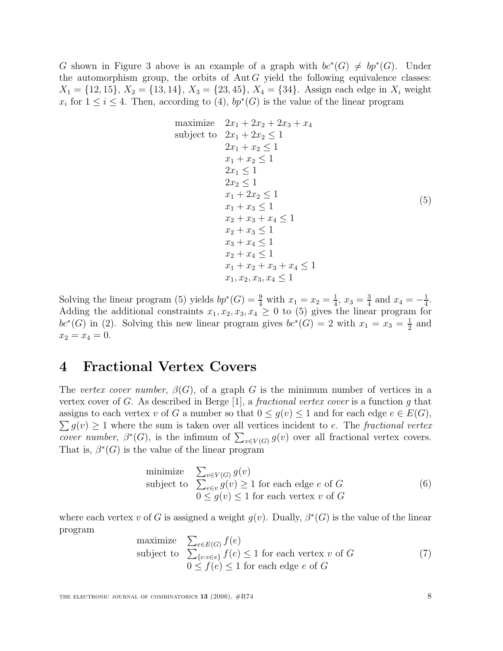G shown in Figure 3 above is an example of a graph with  $bc^*(G) \neq bp^*(G)$ . Under the automorphism group, the orbits of  $Aut G$  yield the following equivalence classes:  $X_1 = \{12, 15\}, X_2 = \{13, 14\}, X_3 = \{23, 45\}, X_4 = \{34\}.$  Assign each edge in  $X_i$  weight  $x_i$  for  $1 \le i \le 4$ . Then, according to (4),  $bp^*(G)$  is the value of the linear program

maximize 
$$
2x_1 + 2x_2 + 2x_3 + x_4
$$
  
\nsubject to  $2x_1 + 2x_2 \le 1$   
\n $2x_1 + x_2 \le 1$   
\n $x_1 + x_2 \le 1$   
\n $2x_1 \le 1$   
\n $2x_2 \le 1$   
\n $x_1 + 2x_2 \le 1$   
\n $x_1 + x_3 \le 1$   
\n $x_2 + x_3 + x_4 \le 1$   
\n $x_2 + x_3 \le 1$   
\n $x_3 + x_4 \le 1$   
\n $x_2 + x_4 \le 1$   
\n $x_1 + x_2 + x_3 + x_4 \le 1$   
\n $x_1, x_2, x_3, x_4 \le 1$ 

Solving the linear program (5) yields  $bp^*(G) = \frac{9}{4}$  with  $x_1 = x_2 = \frac{1}{4}$ ,  $x_3 = \frac{3}{4}$  and  $x_4 = -\frac{1}{4}$ .<br>Adding the additional constraints  $x_1, x_2, x_3, x_4 > 0$  to (5) gives the linear program for Adding the additional constraints  $x_1, x_2, x_3, x_4 \geq 0$  to (5) gives the linear program for  $bc*(G)$  in (2). Solving this new linear program gives  $bc*(G) = 2$  with  $x_1 = x_3 = \frac{1}{2}$  and  $x_2 = x_1 = 0$  $x_2 = x_4 = 0.$ 

### **4 Fractional Vertex Covers**

The vertex cover number,  $\beta(G)$ , of a graph G is the minimum number of vertices in a vertex cover of G. As described in Berge  $[1]$ , a *fractional vertex cover* is a function g that  $\sum g(v) \ge 1$  where the sum is taken over all vertices incident to e. The fractional vertex<br>cover number  $\beta^*(G)$  is the infimum of  $\sum_{v \in G(v)} g(v)$  over all fractional vertex covers assigns to each vertex v of G a number so that  $0 \le g(v) \le 1$  and for each edge  $e \in E(G)$ , cover number,  $\beta^*(G)$ , is the infimum of  $\sum_{v \in V(G)} g(v)$  over all fractional vertex covers.<br>That is  $\beta^*(G)$  is the value of the linear program That is,  $\beta^*(G)$  is the value of the linear program

minimize 
$$
\sum_{v \in V(G)} g(v)
$$
  
subject to  $\sum_{e \in v} g(v) \ge 1$  for each edge *e* of *G*  
 $0 \le g(v) \le 1$  for each vertex *v* of *G* (6)

where each vertex v of G is assigned a weight  $g(v)$ . Dually,  $\beta^*(G)$  is the value of the linear program

maximize 
$$
\sum_{e \in E(G)} f(e)
$$
  
subject to 
$$
\sum_{\{e: v \in e\}} f(e) \le 1
$$
 for each vertex  $v$  of  $G$   

$$
0 \le f(e) \le 1
$$
 for each edge  $e$  of  $G$  (7)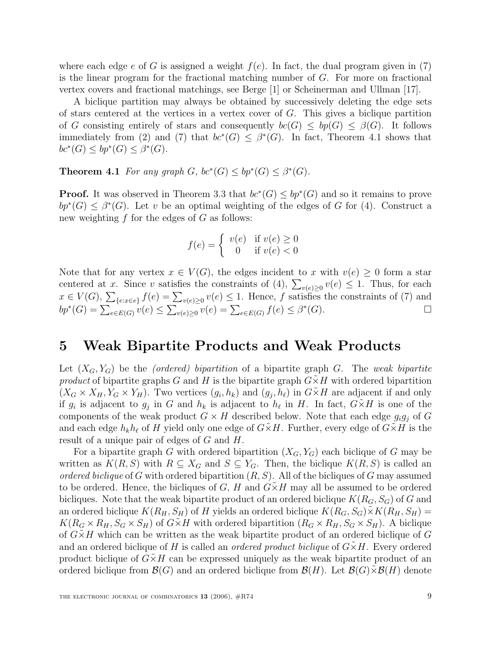where each edge e of G is assigned a weight  $f(e)$ . In fact, the dual program given in (7) is the linear program for the fractional matching number of G. For more on fractional vertex covers and fractional matchings, see Berge [1] or Scheinerman and Ullman [17].

A biclique partition may always be obtained by successively deleting the edge sets of stars centered at the vertices in a vertex cover of  $G$ . This gives a biclique partition of G consisting entirely of stars and consequently  $bc(G) \leq bp(G) \leq \beta(G)$ . It follows immediately from (2) and (7) that  $bc*(G) \leq \beta*(G)$ . In fact, Theorem 4.1 shows that  $bc^*(G) \le bp^*(G) \le \beta^*(G).$ 

**Theorem 4.1** For any graph G,  $bc^*(G) \le bp^*(G) \le \beta^*(G)$ .

**Proof.** It was observed in Theorem 3.3 that  $bc^*(G) \le bp^*(G)$  and so it remains to prove  $bp^*(G) \leq \beta^*(G)$ . Let v be an optimal weighting of the edges of G for (4). Construct a new weighting  $f$  for the edges of  $G$  as follows:

$$
f(e) = \begin{cases} v(e) & \text{if } v(e) \ge 0\\ 0 & \text{if } v(e) < 0 \end{cases}
$$

Note that for any vertex  $x \in V(G)$ , the edges incident to x with  $v(e) \geq 0$  form a star centered at x. Since v satisfies the constraints of  $(4)$ ,  $\sum_{v(e)\geq 0} v(e) \leq 1$ . Thus, for each  $x \in V(C)$ .  $\sum_{v(e) \leq 1} f(e) = \sum_{v(e) \leq 1} v(e) \leq 1$ . Hence, f eatisfies the constraints of (7) and  $x \in V(G)$ ,  $\sum_{\{e: x \in e\}} f(e) = \sum_{v(e) \ge 0} v(e) \le 1$ . Hence, f satisfies the constraints of (7) and  $bp^*(G) = \sum_{e \in E(G)} v(e) \le \sum_{v(e) \ge 0} v(e) = \sum_{e \in E(G)} f(e) \le \beta^*(G).$ 

### **5 Weak Bipartite Products and Weak Products**

Let  $(X_G, Y_G)$  be the *(ordered)* bipartition of a bipartite graph G. The weak bipartite product of bipartite graphs G and H is the bipartite graph  $G\tilde{\times}H$  with ordered bipartition  $(X_G \times X_H, Y_G \times Y_H)$ . Two vertices  $(g_i, h_k)$  and  $(g_j, h_\ell)$  in  $G \times H$  are adjacent if and only if  $g_i$  is adjacent to  $g_j$  in G and  $h_k$  is adjacent to  $h_\ell$  in H. In fact,  $G\times H$  is one of the components of the weak product  $G \times H$  described below. Note that each edge  $g_i g_j$  of G and each edge  $h_k h_\ell$  of H yield only one edge of  $G\tilde{\times}H$ . Further, every edge of  $G\tilde{\times}H$  is the result of a unique pair of edges of G and H.

For a bipartite graph G with ordered bipartition  $(X_G, Y_G)$  each biclique of G may be written as  $K(R, S)$  with  $R \subseteq X_G$  and  $S \subseteq Y_G$ . Then, the biclique  $K(R, S)$  is called an ordered biclique of G with ordered bipartition  $(R, S)$ . All of the bicliques of G may assumed to be ordered. Hence, the bicliques of  $G, H$  and  $G \times H$  may all be assumed to be ordered bicliques. Note that the weak bipartite product of an ordered biclique  $K(R_G, S_G)$  of G and an ordered biclique  $K(R_H, S_H)$  of H yields an ordered biclique  $K(R_G, S_G) \times K(R_H, S_H)$  $K(R_G \times R_H, S_G \times S_H)$  of  $G \times H$  with ordered bipartition  $(R_G \times R_H, S_G \times S_H)$ . A biclique of  $G\times H$  which can be written as the weak bipartite product of an ordered biclique of G and an ordered biclique of H is called an *ordered product biclique* of  $G\times H$ . Every ordered product biclique of  $G\times H$  can be expressed uniquely as the weak bipartite product of an ordered biclique from  $\mathcal{B}(G)$  and an ordered biclique from  $\mathcal{B}(H)$ . Let  $\mathcal{B}(G)\tilde{\times}\mathcal{B}(H)$  denote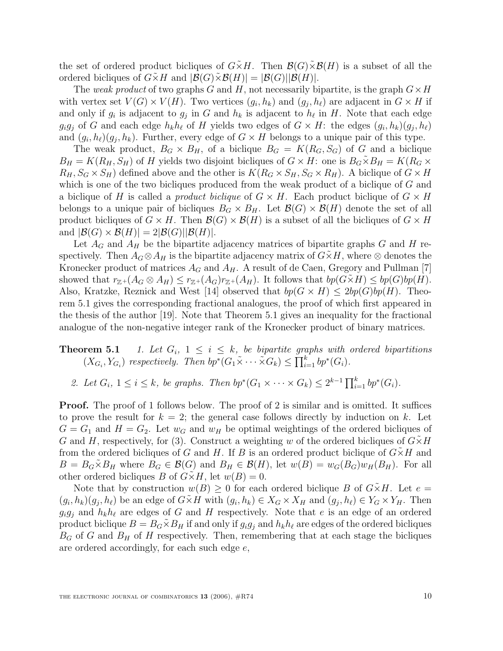the set of ordered product bicliques of  $G\times H$ . Then  $\mathcal{B}(G)\times\mathcal{B}(H)$  is a subset of all the ordered bicliques of  $G \times H$  and  $|\mathcal{B}(G) \times \mathcal{B}(H)| = |\mathcal{B}(G)| |\mathcal{B}(H)|$ .

The weak product of two graphs G and H, not necessarily bipartite, is the graph  $G \times H$ with vertex set  $V(G) \times V(H)$ . Two vertices  $(g_i, h_k)$  and  $(g_j, h_\ell)$  are adjacent in  $G \times H$  if and only if  $g_i$  is adjacent to  $g_j$  in G and  $h_k$  is adjacent to  $h_\ell$  in H. Note that each edge  $g_i g_j$  of G and each edge  $h_k h_\ell$  of H yields two edges of  $G \times H$ : the edges  $(g_i, h_k)(g_j, h_\ell)$ and  $(g_i, h_\ell)(g_i, h_k)$ . Further, every edge of  $G \times H$  belongs to a unique pair of this type.

The weak product,  $B_G \times B_H$ , of a biclique  $B_G = K(R_G, S_G)$  of G and a biclique  $B_H = K(R_H, S_H)$  of H yields two disjoint bicliques of  $G \times H$ : one is  $B_G \times B_H = K(R_G \times$  $R_H, S_G \times S_H$  defined above and the other is  $K(R_G \times S_H, S_G \times R_H)$ . A biclique of  $G \times H$ which is one of the two bicliques produced from the weak product of a biclique of G and a biclique of H is called a *product biclique* of  $G \times H$ . Each product biclique of  $G \times H$ belongs to a unique pair of bicliques  $B_G \times B_H$ . Let  $\mathcal{B}(G) \times \mathcal{B}(H)$  denote the set of all product bicliques of  $G \times H$ . Then  $\mathcal{B}(G) \times \mathcal{B}(H)$  is a subset of all the bicliques of  $G \times H$ and  $|\mathcal{B}(G) \times \mathcal{B}(H)| = 2|\mathcal{B}(G)||\mathcal{B}(H)|$ .

Let  $A_G$  and  $A_H$  be the bipartite adjacency matrices of bipartite graphs G and H respectively. Then  $A_G \otimes A_H$  is the bipartite adjacency matrix of  $G \times H$ , where  $\otimes$  denotes the Kronecker product of matrices  $A_G$  and  $A_H$ . A result of de Caen, Gregory and Pullman [7] showed that  $r_{\mathbb{Z}^+}(A_G \otimes A_H) \leq r_{\mathbb{Z}^+}(A_G)r_{\mathbb{Z}^+}(A_H)$ . It follows that  $bp(G \times H) \leq bp(G)bp(H)$ . Also, Kratzke, Reznick and West [14] observed that  $bp(G \times H) \leq 2bp(G)bp(H)$ . Theorem 5.1 gives the corresponding fractional analogues, the proof of which first appeared in the thesis of the author [19]. Note that Theorem 5.1 gives an inequality for the fractional analogue of the non-negative integer rank of the Kronecker product of binary matrices.

# **Theorem 5.1** 1. Let  $G_i$ ,  $1 \leq i \leq k$ , be bipartite graphs with ordered bipartitions  $(X_{G_i}, Y_{G_i})$  respectively. Then  $bp^*(G_1 \tilde{\times} \cdots \tilde{\times} G_k) \leq \prod_{i=1}^k bp^*(G_i)$ .

2. Let  $G_i$ ,  $1 \leq i \leq k$ , be graphs. Then  $bp^*(G_1 \times \cdots \times G_k) \leq 2^{k-1} \prod_{i=1}^k bp^*(G_i)$ .

**Proof.** The proof of 1 follows below. The proof of 2 is similar and is omitted. It suffices to prove the result for  $k = 2$ ; the general case follows directly by induction on k. Let  $G = G_1$  and  $H = G_2$ . Let  $w_G$  and  $w_H$  be optimal weightings of the ordered bicliques of G and H, respectively, for (3). Construct a weighting w of the ordered bicliques of  $G\ddot{\times}H$ from the ordered bicliques of G and H. If B is an ordered product biclique of  $G\tilde{\times}H$  and  $B = B_G \times B_H$  where  $B_G \in \mathcal{B}(G)$  and  $B_H \in \mathcal{B}(H)$ , let  $w(B) = w_G(B_G)w_H(B_H)$ . For all other ordered bicliques B of  $G\tilde{\times}H$ , let  $w(B)=0$ .

Note that by construction  $w(B) \geq 0$  for each ordered biclique B of  $G \times H$ . Let  $e =$  $(g_i, h_k)(g_j, h_\ell)$  be an edge of  $G\tilde{\times}H$  with  $(g_i, h_k) \in X_G \times X_H$  and  $(g_j, h_\ell) \in Y_G \times Y_H$ . Then  $g_i g_j$  and  $h_k h_\ell$  are edges of G and H respectively. Note that e is an edge of an ordered product biclique  $B = B_G \tilde{\times} B_H$  if and only if  $g_i g_j$  and  $h_k h_\ell$  are edges of the ordered bicliques  $B_G$  of G and  $B_H$  of H respectively. Then, remembering that at each stage the bicliques are ordered accordingly, for each such edge e,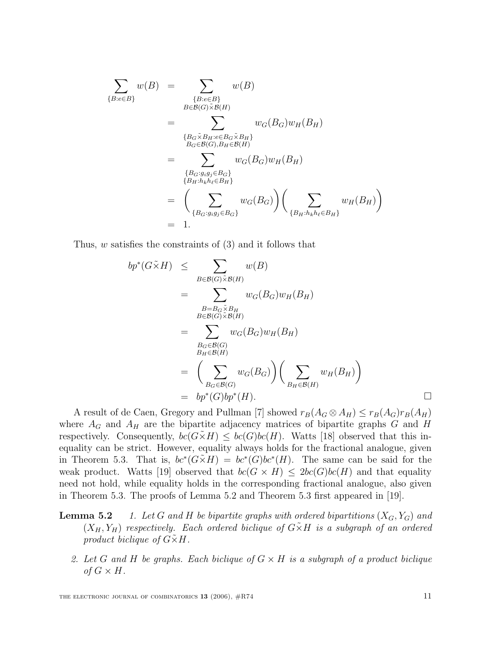$$
\sum_{\{B: e \in B\}} w(B) = \sum_{\{B: e \in B\}} w(B)
$$
\n
$$
= \sum_{\{B \in \mathcal{B}(G) \times \mathcal{B}(H)\}} w_G(B_G) w_H(B_H)
$$
\n
$$
= \sum_{\{B_G \times B_H : e \in B_G \times B_H\}} w_G(B_G) w_H(B_H)
$$
\n
$$
= \sum_{\{B_G : g_i g_j \in B_G\}} w_G(B_G) w_H(B_H)
$$
\n
$$
= \left(\sum_{\{B_G : g_i g_j \in B_G\}} w_G(B_G)\right) \left(\sum_{\{B_H : h_k h_\ell \in B_H\}} w_H(B_H)\right)
$$
\n
$$
= 1.
$$

Thus, w satisfies the constraints of (3) and it follows that

$$
bp^*(G \tilde{\times} H) \leq \sum_{B \in \mathcal{B}(G) \tilde{\times} \mathcal{B}(H)} w(B)
$$
  
= 
$$
\sum_{B=B_G \tilde{\times} B_H} w_G(B_G) w_H(B_H)
$$
  
= 
$$
\sum_{B_G \in \mathcal{B}(G) \tilde{\times} \mathcal{B}(H)} w_G(B_G) w_H(B_H)
$$
  
= 
$$
\sum_{B_G \in \mathcal{B}(G)} w_G(B_G) w_H(B_H)
$$
  
= 
$$
\left(\sum_{B_G \in \mathcal{B}(G)} w_G(B_G)\right) \left(\sum_{B_H \in \mathcal{B}(H)} w_H(B_H)\right)
$$
  
= 
$$
bp^*(G)bp^*(H).
$$

A result of de Caen, Gregory and Pullman [7] showed  $r_B(A_G \otimes A_H) \le r_B(A_G)r_B(A_H)$ <br>are  $A_G$  and  $A_H$  are the binaritie adjacency matrices of binaritie graphs  $G$  and  $H$ where  $A_G$  and  $A_H$  are the bipartite adjacency matrices of bipartite graphs G and H respectively. Consequently,  $bc(G\times H) \leq bc(G)bc(H)$ . Watts [18] observed that this inequality can be strict. However, equality always holds for the fractional analogue, given in Theorem 5.3. That is,  $bc*(G\times H) = bc*(G)bc*(H)$ . The same can be said for the weak product. Watts [19] observed that  $bc(G \times H) \leq 2bc(G)bc(H)$  and that equality need not hold, while equality holds in the corresponding fractional analogue, also given in Theorem 5.3. The proofs of Lemma 5.2 and Theorem 5.3 first appeared in [19].

- **Lemma 5.2** 1. Let G and H be bipartite graphs with ordered bipartitions  $(X_G, Y_G)$  and  $(X_H, Y_H)$  respectively. Each ordered biclique of  $G\tilde{\times}H$  is a subgraph of an ordered product biclique of  $G\tilde{\times}H$ .
	- 2. Let G and H be graphs. Each biclique of  $G \times H$  is a subgraph of a product biclique of  $G \times H$ .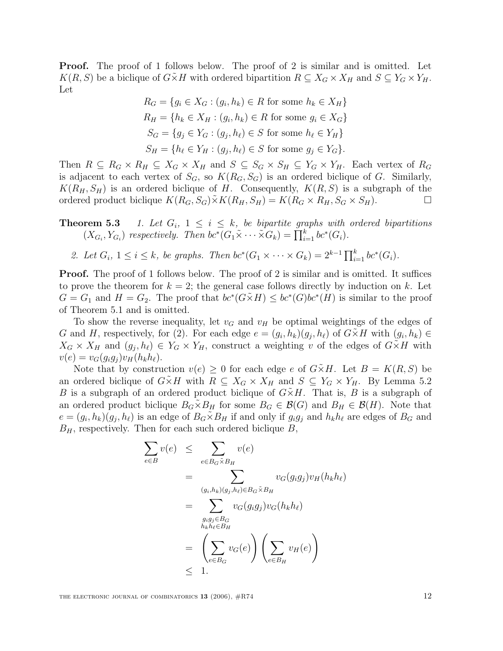**Proof.** The proof of 1 follows below. The proof of 2 is similar and is omitted. Let  $K(R, S)$  be a biclique of  $G \times H$  with ordered bipartition  $R \subseteq X_G \times X_H$  and  $S \subseteq Y_G \times Y_H$ . Let

$$
R_G = \{ g_i \in X_G : (g_i, h_k) \in R \text{ for some } h_k \in X_H \}
$$
  
\n
$$
R_H = \{ h_k \in X_H : (g_i, h_k) \in R \text{ for some } g_i \in X_G \}
$$
  
\n
$$
S_G = \{ g_j \in Y_G : (g_j, h_\ell) \in S \text{ for some } h_\ell \in Y_H \}
$$
  
\n
$$
S_H = \{ h_\ell \in Y_H : (g_j, h_\ell) \in S \text{ for some } g_j \in Y_G \}.
$$

Then  $R \subseteq R_G \times R_H \subseteq X_G \times X_H$  and  $S \subseteq S_G \times S_H \subseteq Y_G \times Y_H$ . Each vertex of  $R_G$ is adjacent to each vertex of  $S_G$ , so  $K(R_G, S_G)$  is an ordered biclique of G. Similarly,  $K(R_H, S_H)$  is an ordered biclique of H. Consequently,  $K(R, S)$  is a subgraph of the ordered product biclique  $K(R_G, S_G) \tilde{\times} K(R_H, S_H) = K(R_G \times R_H, S_G \times S_H)$ . ordered product biclique  $K(R_G, S_G) \tilde{\times} K(R_H, S_H) = K(R_G \times R_H, S_G \times S_H)$ .

**Theorem 5.3** 1. Let  $G_i$ ,  $1 \leq i \leq k$ , be bipartite graphs with ordered bipartitions  $(X_{G_i}, Y_{G_i})$  respectively. Then  $bc^*(G_1 \tilde{\times} \cdots \tilde{\times} G_k) = \prod_{i=1}^k bc^*(G_i)$ .

2. Let  $G_i$ ,  $1 \le i \le k$ , be graphs. Then  $bc^*(G_1 \times \cdots \times G_k) = 2^{k-1} \prod_{i=1}^k bc^*(G_i)$ .

**Proof.** The proof of 1 follows below. The proof of 2 is similar and is omitted. It suffices to prove the theorem for  $k = 2$ ; the general case follows directly by induction on k. Let  $G = G_1$  and  $H = G_2$ . The proof that  $bc^*(G \times H) \leq bc^*(G)bc^*(H)$  is similar to the proof of Theorem 5.1 and is omitted.

To show the reverse inequality, let  $v_G$  and  $v_H$  be optimal weightings of the edges of G and H, respectively, for (2). For each edge  $e = (g_i, h_k)(g_j, h_\ell)$  of  $G \times H$  with  $(g_i, h_k) \in$  $X_G \times X_H$  and  $(g_j, h_\ell) \in Y_G \times Y_H$ , construct a weighting v of the edges of  $G \times H$  with  $v(e) = v_G(g_i g_j) v_H(h_k h_\ell).$ 

Note that by construction  $v(e) \geq 0$  for each edge e of  $G \times H$ . Let  $B = K(R, S)$  be an ordered biclique of  $G\tilde{\times}H$  with  $R\subseteq X_G\times X_H$  and  $S\subseteq Y_G\times Y_H$ . By Lemma 5.2 B is a subgraph of an ordered product biclique of  $G\tilde{\times}H$ . That is, B is a subgraph of an ordered product biclique  $B_G \times B_H$  for some  $B_G \in \mathcal{B}(G)$  and  $B_H \in \mathcal{B}(H)$ . Note that  $e = (g_i, h_k)(g_j, h_\ell)$  is an edge of  $B_G \times B_H$  if and only if  $g_i g_j$  and  $h_k h_\ell$  are edges of  $B_G$  and  $B_H$ , respectively. Then for each such ordered biclique  $B$ ,

$$
\sum_{e \in B} v(e) \leq \sum_{e \in B_G \tilde{\times} B_H} v(e)
$$
\n
$$
= \sum_{(g_i, h_k)(g_j, h_\ell) \in B_G \tilde{\times} B_H} v_G(g_i g_j) v_H(h_k h_\ell)
$$
\n
$$
= \sum_{\substack{g_i g_j \in B_G \\ h_k h_\ell \in B_H}} v_G(g_i g_j) v_G(h_k h_\ell)
$$
\n
$$
= \left(\sum_{e \in B_G} v_G(e)\right) \left(\sum_{e \in B_H} v_H(e)\right)
$$
\n
$$
\leq 1.
$$

THE ELECTRONIC JOURNAL OF COMBINATORICS **13** (2006),  $#R74$  12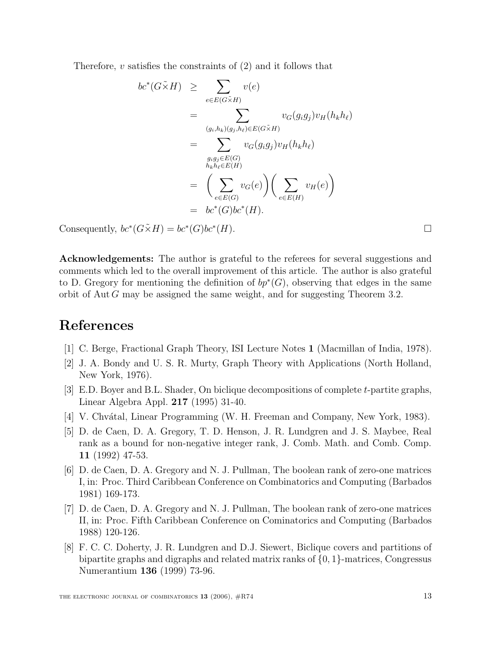Therefore,  $v$  satisfies the constraints of  $(2)$  and it follows that

$$
bc^*(G\tilde{\times}H) \geq \sum_{e \in E(G\tilde{\times}H)} v(e)
$$
  
= 
$$
\sum_{(g_i, h_k)(g_j, h_\ell) \in E(G\tilde{\times}H)} v_G(g_i g_j) v_H(h_k h_\ell)
$$
  
= 
$$
\sum_{\substack{g_i g_j \in E(G) \\ h_k h_\ell \in E(H)}} v_G(g_i g_j) v_H(h_k h_\ell)
$$
  
= 
$$
\left(\sum_{e \in E(G)} v_G(e)\right) \left(\sum_{e \in E(H)} v_H(e)\right)
$$
  
= 
$$
bc^*(G)bc^*(H).
$$

Consequently,  $bc^*(G\tilde\times H) = bc^*(G)bc^*(H)$ .

**Acknowledgements:** The author is grateful to the referees for several suggestions and comments which led to the overall improvement of this article. The author is also grateful to D. Gregory for mentioning the definition of  $bp^*(G)$ , observing that edges in the same orbit of Aut G may be assigned the same weight, and for suggesting Theorem 3.2.

## **References**

- [1] C. Berge, Fractional Graph Theory, ISI Lecture Notes **1** (Macmillan of India, 1978).
- [2] J. A. Bondy and U. S. R. Murty, Graph Theory with Applications (North Holland, New York, 1976).
- [3] E.D. Boyer and B.L. Shader, On biclique decompositions of complete t-partite graphs, Linear Algebra Appl. **217** (1995) 31-40.
- [4] V. Chvátal, Linear Programming (W. H. Freeman and Company, New York, 1983).
- [5] D. de Caen, D. A. Gregory, T. D. Henson, J. R. Lundgren and J. S. Maybee, Real rank as a bound for non-negative integer rank, J. Comb. Math. and Comb. Comp. **11** (1992) 47-53.
- [6] D. de Caen, D. A. Gregory and N. J. Pullman, The boolean rank of zero-one matrices I, in: Proc. Third Caribbean Conference on Combinatorics and Computing (Barbados 1981) 169-173.
- [7] D. de Caen, D. A. Gregory and N. J. Pullman, The boolean rank of zero-one matrices II, in: Proc. Fifth Caribbean Conference on Cominatorics and Computing (Barbados 1988) 120-126.
- [8] F. C. C. Doherty, J. R. Lundgren and D.J. Siewert, Biclique covers and partitions of bipartite graphs and digraphs and related matrix ranks of {0, <sup>1</sup>}-matrices, Congressus Numerantium **136** (1999) 73-96.